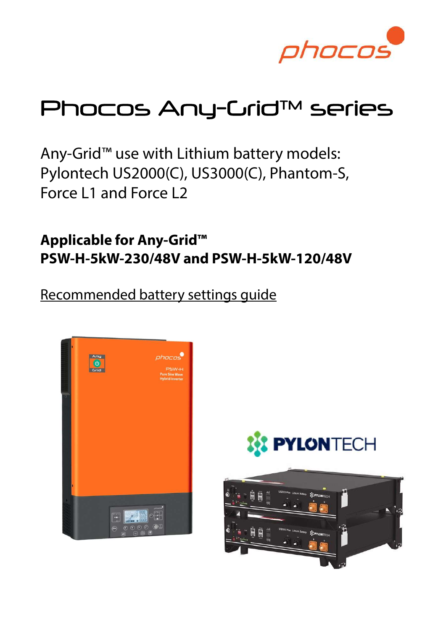

# Phocos Any-Crid™ series

Any-Grid™ use with Lithium battery models: Pylontech US2000(C), US3000(C), Phantom-S, Force L1 and Force L2

Applicable for Any-Grid™ PSW-H-5kW-230/48V and PSW-H-5kW-120/48V

Recommended battery settings guide



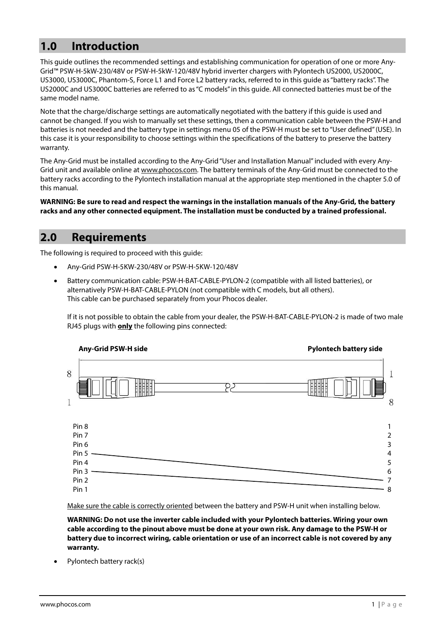## 1.0 Introduction

This guide outlines the recommended settings and establishing communication for operation of one or more Any-Grid™ PSW-H-5kW-230/48V or PSW-H-5kW-120/48V hybrid inverter chargers with Pylontech US2000, US2000C, US3000, US3000C, Phantom-S, Force L1 and Force L2 battery racks, referred to in this guide as "battery racks". The US2000C and US3000C batteries are referred to as "C models" in this guide. All connected batteries must be of the same model name.

Note that the charge/discharge settings are automatically negotiated with the battery if this guide is used and cannot be changed. If you wish to manually set these settings, then a communication cable between the PSW-H and batteries is not needed and the battery type in settings menu 05 of the PSW-H must be set to "User defined" (USE). In this case it is your responsibility to choose settings within the specifications of the battery to preserve the battery warranty.

The Any-Grid must be installed according to the Any-Grid "User and Installation Manual" included with every Any-Grid unit and available online at www.phocos.com. The battery terminals of the Any-Grid must be connected to the battery racks according to the Pylontech installation manual at the appropriate step mentioned in the chapter 5.0 of this manual.

WARNING: Be sure to read and respect the warnings in the installation manuals of the Any-Grid, the battery racks and any other connected equipment. The installation must be conducted by a trained professional.

#### 2.0 Requirements

The following is required to proceed with this guide:

- Any-Grid PSW-H-5KW-230/48V or PSW-H-5KW-120/48V
- Battery communication cable: PSW-H-BAT-CABLE-PYLON-2 (compatible with all listed batteries), or alternatively PSW-H-BAT-CABLE-PYLON (not compatible with C models, but all others). This cable can be purchased separately from your Phocos dealer.

If it is not possible to obtain the cable from your dealer, the PSW-H-BAT-CABLE-PYLON-2 is made of two male RJ45 plugs with **only** the following pins connected:



Make sure the cable is correctly oriented between the battery and PSW-H unit when installing below.

WARNING: Do not use the inverter cable included with your Pylontech batteries. Wiring your own cable according to the pinout above must be done at your own risk. Any damage to the PSW-H or battery due to incorrect wiring, cable orientation or use of an incorrect cable is not covered by any warranty.

Pylontech battery rack(s)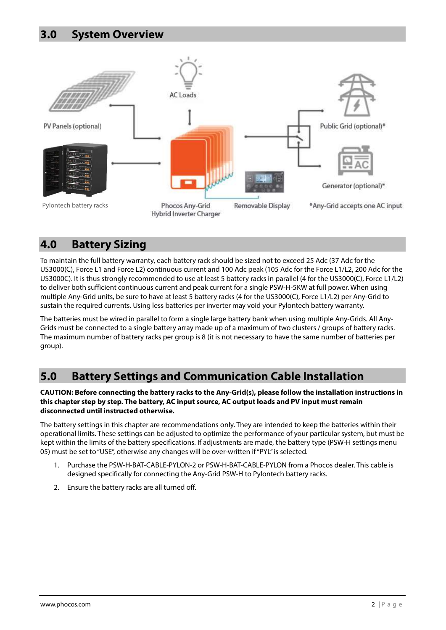

### 4.0 Battery Sizing

To maintain the full battery warranty, each battery rack should be sized not to exceed 25 Adc (37 Adc for the US3000(C), Force L1 and Force L2) continuous current and 100 Adc peak (105 Adc for the Force L1/L2, 200 Adc for the US3000C). It is thus strongly recommended to use at least 5 battery racks in parallel (4 for the US3000(C), Force L1/L2) to deliver both sufficient continuous current and peak current for a single PSW-H-5KW at full power. When using multiple Any-Grid units, be sure to have at least 5 battery racks (4 for the US3000(C), Force L1/L2) per Any-Grid to sustain the required currents. Using less batteries per inverter may void your Pylontech battery warranty.

The batteries must be wired in parallel to form a single large battery bank when using multiple Any-Grids. All Any-Grids must be connected to a single battery array made up of a maximum of two clusters / groups of battery racks. The maximum number of battery racks per group is 8 (it is not necessary to have the same number of batteries per group).

# 5.0 Battery Settings and Communication Cable Installation

CAUTION: Before connecting the battery racks to the Any-Grid(s), please follow the installation instructions in this chapter step by step. The battery, AC input source, AC output loads and PV input must remain disconnected until instructed otherwise.

The battery settings in this chapter are recommendations only. They are intended to keep the batteries within their operational limits. These settings can be adjusted to optimize the performance of your particular system, but must be kept within the limits of the battery specifications. If adjustments are made, the battery type (PSW-H settings menu 05) must be set to "USE", otherwise any changes will be over-written if "PYL" is selected.

- 1. Purchase the PSW-H-BAT-CABLE-PYLON-2 or PSW-H-BAT-CABLE-PYLON from a Phocos dealer. This cable is designed specifically for connecting the Any-Grid PSW-H to Pylontech battery racks.
- 2. Ensure the battery racks are all turned off.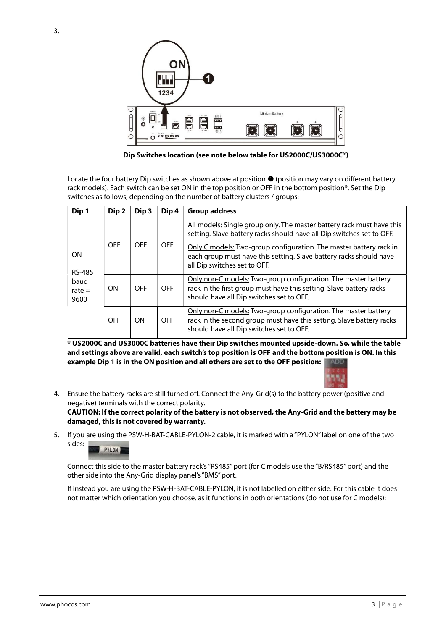

Dip Switches location (see note below table for US2000C/US3000C\*)

Locate the four battery Dip switches as shown above at position  $\bullet$  (position may vary on different battery rack models). Each switch can be set ON in the top position or OFF in the bottom position\*. Set the Dip switches as follows, depending on the number of battery clusters / groups:

| Dip 1                                           | Dip 2      | Dip <sub>3</sub> | Dip 4      | <b>Group address</b>                                                                                                                                                               |  |
|-------------------------------------------------|------------|------------------|------------|------------------------------------------------------------------------------------------------------------------------------------------------------------------------------------|--|
| ΟN<br><b>RS-485</b><br>baud<br>rate $=$<br>9600 | <b>OFF</b> | <b>OFF</b>       | <b>OFF</b> | All models: Single group only. The master battery rack must have this<br>setting. Slave battery racks should have all Dip switches set to OFF.                                     |  |
|                                                 |            |                  |            | Only C models: Two-group configuration. The master battery rack in<br>each group must have this setting. Slave battery racks should have<br>all Dip switches set to OFF.           |  |
|                                                 | <b>ON</b>  | <b>OFF</b>       | <b>OFF</b> | Only non-C models: Two-group configuration. The master battery<br>rack in the first group must have this setting. Slave battery racks<br>should have all Dip switches set to OFF.  |  |
|                                                 | <b>OFF</b> | <b>ON</b>        | <b>OFF</b> | Only non-C models: Two-group configuration. The master battery<br>rack in the second group must have this setting. Slave battery racks<br>should have all Dip switches set to OFF. |  |

\* US2000C and US3000C batteries have their Dip switches mounted upside-down. So, while the table and settings above are valid, each switch's top position is OFF and the bottom position is ON. In this example Dip 1 is in the ON position and all others are set to the OFF position: |



4. Ensure the battery racks are still turned off. Connect the Any-Grid(s) to the battery power (positive and negative) terminals with the correct polarity.

CAUTION: If the correct polarity of the battery is not observed, the Any-Grid and the battery may be damaged, this is not covered by warranty.

5. If you are using the PSW-H-BAT-CABLE-PYLON-2 cable, it is marked with a "PYLON" label on one of the two sides: PYLON

Connect this side to the master battery rack's "RS485" port (for C models use the "B/RS485" port) and the other side into the Any-Grid display panel's "BMS" port.

If instead you are using the PSW-H-BAT-CABLE-PYLON, it is not labelled on either side. For this cable it does not matter which orientation you choose, as it functions in both orientations (do not use for C models):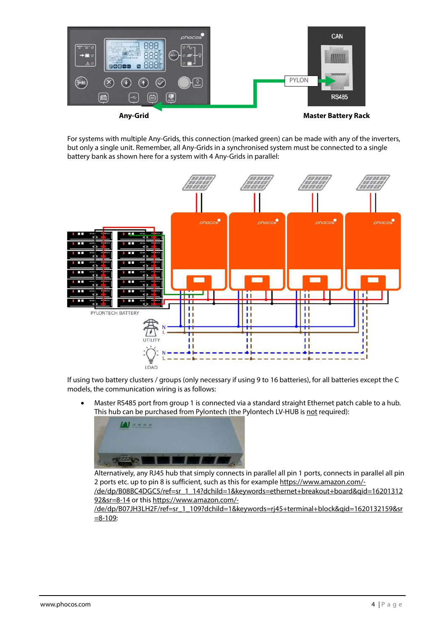

For systems with multiple Any-Grids, this connection (marked green) can be made with any of the inverters, but only a single unit. Remember, all Any-Grids in a synchronised system must be connected to a single battery bank as shown here for a system with 4 Any-Grids in parallel:



If using two battery clusters / groups (only necessary if using 9 to 16 batteries), for all batteries except the C models, the communication wiring is as follows:

 Master RS485 port from group 1 is connected via a standard straight Ethernet patch cable to a hub. This hub can be purchased from Pylontech (the Pylontech LV-HUB is not required):



Alternatively, any RJ45 hub that simply connects in parallel all pin 1 ports, connects in parallel all pin 2 ports etc. up to pin 8 is sufficient, such as this for example https://www.amazon.com/- /de/dp/B08BC4DGC5/ref=sr\_1\_14?dchild=1&keywords=ethernet+breakout+board&qid=16201312 92&sr=8-14 or this https://www.amazon.com/-

/de/dp/B07JH3LH2F/ref=sr\_1\_109?dchild=1&keywords=rj45+terminal+block&qid=1620132159&sr  $=8-109$ :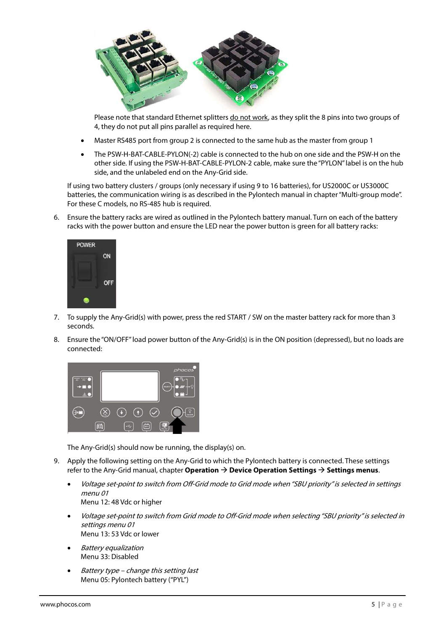

Please note that standard Ethernet splitters do not work, as they split the 8 pins into two groups of 4, they do not put all pins parallel as required here.

- Master RS485 port from group 2 is connected to the same hub as the master from group 1
- The PSW-H-BAT-CABLE-PYLON(-2) cable is connected to the hub on one side and the PSW-H on the other side. If using the PSW-H-BAT-CABLE-PYLON-2 cable, make sure the "PYLON" label is on the hub side, and the unlabeled end on the Any-Grid side.

If using two battery clusters / groups (only necessary if using 9 to 16 batteries), for US2000C or US3000C batteries, the communication wiring is as described in the Pylontech manual in chapter "Multi-group mode". For these C models, no RS-485 hub is required.

6. Ensure the battery racks are wired as outlined in the Pylontech battery manual. Turn on each of the battery racks with the power button and ensure the LED near the power button is green for all battery racks:



- 7. To supply the Any-Grid(s) with power, press the red START / SW on the master battery rack for more than 3 seconds.
- 8. Ensure the "ON/OFF" load power button of the Any-Grid(s) is in the ON position (depressed), but no loads are connected:



The Any-Grid(s) should now be running, the display(s) on.

- 9. Apply the following setting on the Any-Grid to which the Pylontech battery is connected. These settings refer to the Any-Grid manual, chapter Operation  $\rightarrow$  Device Operation Settings  $\rightarrow$  Settings menus.
	- Voltage set-point to switch from Off-Grid mode to Grid mode when "SBU priority" is selected in settings menu 01 Menu 12: 48 Vdc or higher
	- Voltage set-point to switch from Grid mode to Off-Grid mode when selecting "SBU priority" is selected in settings menu 01 Menu 13: 53 Vdc or lower
	- Battery equalization Menu 33: Disabled
	- Battery type change this setting last Menu 05: Pylontech battery ("PYL")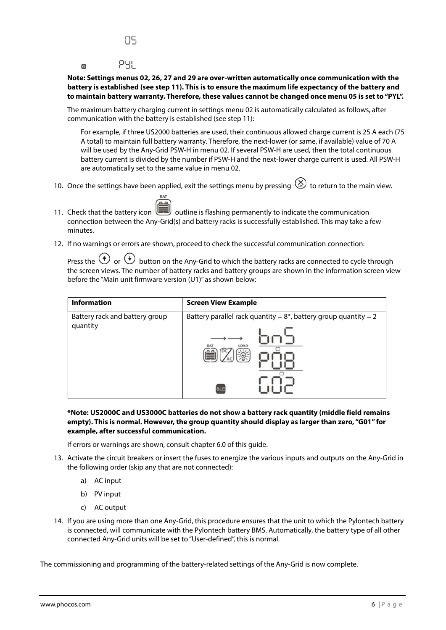#### PЧL  $\overline{\odot}$

Note: Settings menus 02, 26, 27 and 29 are over-written automatically once communication with the battery is established (see step 11). This is to ensure the maximum life expectancy of the battery and to maintain battery warranty. Therefore, these values cannot be changed once menu 05 is set to "PYL".

The maximum battery charging current in settings menu 02 is automatically calculated as follows, after communication with the battery is established (see step 11):

For example, if three US2000 batteries are used, their continuous allowed charge current is 25 A each (75 A total) to maintain full battery warranty. Therefore, the next-lower (or same, if available) value of 70 A will be used by the Any-Grid PSW-H in menu 02. If several PSW-H are used, then the total continuous battery current is divided by the number if PSW-H and the next-lower charge current is used. All PSW-H are automatically set to the same value in menu 02.

- 10. Once the settings have been applied, exit the settings menu by pressing  $\bigotimes$  to return to the main view.
- 11. Check that the battery icon **outline** is flashing permanently to indicate the communication connection between the Any-Grid(s) and battery racks is successfully established. This may take a few minutes.
- 12. If no warnings or errors are shown, proceed to check the successful communication connection:

Press the  $\bigoplus$  or  $\bigoplus$  button on the Any-Grid to which the battery racks are connected to cycle through the screen views. The number of battery racks and battery groups are shown in the information screen view before the "Main unit firmware version (U1)" as shown below:

| <b>Information</b>             | <b>Screen View Example</b>                                          |  |  |
|--------------------------------|---------------------------------------------------------------------|--|--|
| Battery rack and battery group | Battery parallel rack quantity = $8^*$ , battery group quantity = 2 |  |  |
| quantity                       | <b>BLE</b>                                                          |  |  |

\*Note: US2000C and US3000C batteries do not show a battery rack quantity (middle field remains empty). This is normal. However, the group quantity should display as larger than zero, "G01" for example, after successful communication.

If errors or warnings are shown, consult chapter 6.0 of this guide.

- 13. Activate the circuit breakers or insert the fuses to energize the various inputs and outputs on the Any-Grid in the following order (skip any that are not connected):
	- a) AC input
	- b) PV input
	- c) AC output
- 14. If you are using more than one Any-Grid, this procedure ensures that the unit to which the Pylontech battery is connected, will communicate with the Pylontech battery BMS. Automatically, the battery type of all other connected Any-Grid units will be set to "User-defined", this is normal.

The commissioning and programming of the battery-related settings of the Any-Grid is now complete.